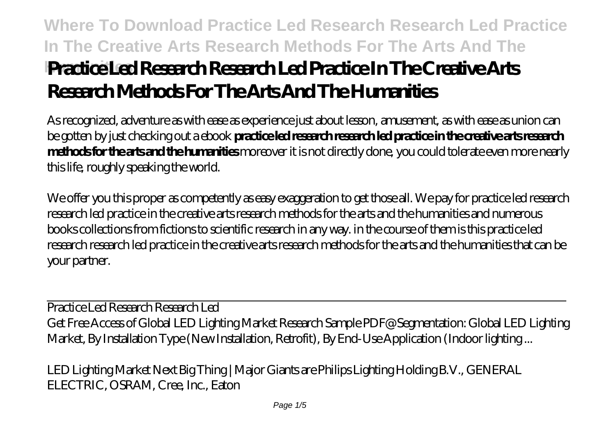# **Where To Download Practice Led Research Research Led Practice In The Creative Arts Research Methods For The Arts And The Humanities Practice Led Research Research Led Practice In The Creative Arts Research Methods For The Arts And The Humanities**

As recognized, adventure as with ease as experience just about lesson, amusement, as with ease as union can be gotten by just checking out a ebook **practice led research research led practice in the creative arts research methods for the arts and the humanities** moreover it is not directly done, you could tolerate even more nearly this life, roughly speaking the world.

We offer you this proper as competently as easy exaggeration to get those all. We pay for practice led research research led practice in the creative arts research methods for the arts and the humanities and numerous books collections from fictions to scientific research in any way. in the course of them is this practice led research research led practice in the creative arts research methods for the arts and the humanities that can be your partner.

*Practice Led Research Research Led* Get Free Access of Global LED Lighting Market Research Sample PDF@ Segmentation: Global LED Lighting Market, By Installation Type (New Installation, Retrofit), By End-Use Application (Indoor lighting ...

*LED Lighting Market Next Big Thing | Major Giants are Philips Lighting Holding B.V., GENERAL ELECTRIC, OSRAM, Cree, Inc., Eaton*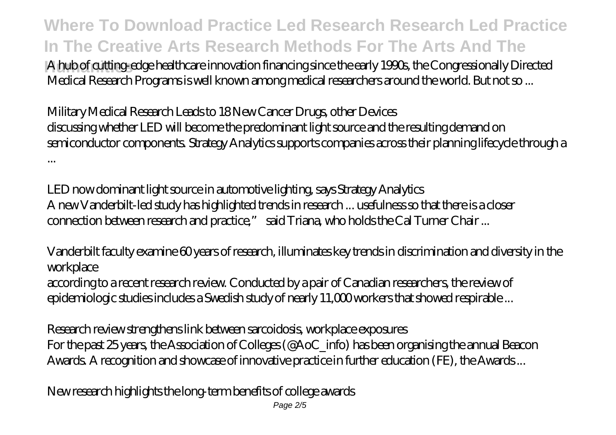**Where To Download Practice Led Research Research Led Practice In The Creative Arts Research Methods For The Arts And The**

**Humanities** A hub of cutting-edge healthcare innovation financing since the early 1990s, the Congressionally Directed Medical Research Programs is well known among medical researchers around the world. But not so ...

## *Military Medical Research Leads to 18 New Cancer Drugs, other Devices*

discussing whether LED will become the predominant light source and the resulting demand on semiconductor components. Strategy Analytics supports companies across their planning lifecycle through a ...

*LED now dominant light source in automotive lighting, says Strategy Analytics* A new Vanderbilt-led study has highlighted trends in research ... usefulness so that there is a closer connection between research and practice," said Triana, who holds the Cal Turner Chair ...

*Vanderbilt faculty examine 60 years of research, illuminates key trends in discrimination and diversity in the workplace*

according to a recent research review. Conducted by a pair of Canadian researchers, the review of epidemiologic studies includes a Swedish study of nearly 11,000 workers that showed respirable ...

*Research review strengthens link between sarcoidosis, workplace exposures* For the past 25 years, the Association of Colleges (@AoC\_info) has been organising the annual Beacon Awards. A recognition and showcase of innovative practice in further education (FE), the Awards ...

*New research highlights the long-term benefits of college awards*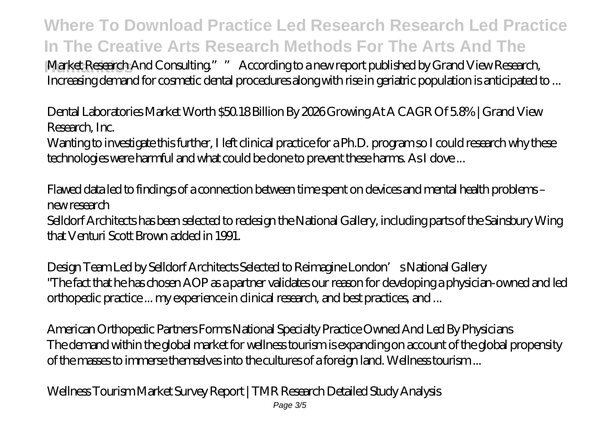**Where To Download Practice Led Research Research Led Practice In The Creative Arts Research Methods For The Arts And The**

**Humanities** Market Research And Consulting."" According to a new report published by Grand View Research, Increasing demand for cosmetic dental procedures along with rise in geriatric population is anticipated to ...

*Dental Laboratories Market Worth \$50.18 Billion By 2026 Growing At A CAGR Of 5.8% | Grand View Research, Inc.*

Wanting to investigate this further, I left clinical practice for a Ph.D. program so I could research why these technologies were harmful and what could be done to prevent these harms. As I dove ...

*Flawed data led to findings of a connection between time spent on devices and mental health problems – new research*

Selldorf Architects has been selected to redesign the National Gallery, including parts of the Sainsbury Wing that Venturi Scott Brown added in 1991.

*Design Team Led by Selldorf Architects Selected to Reimagine London's National Gallery* "The fact that he has chosen AOP as a partner validates our reason for developing a physician-owned and led orthopedic practice ... my experience in clinical research, and best practices, and ...

*American Orthopedic Partners Forms National Specialty Practice Owned And Led By Physicians* The demand within the global market for wellness tourism is expanding on account of the global propensity of the masses to immerse themselves into the cultures of a foreign land. Wellness tourism ...

*Wellness Tourism Market Survey Report | TMR Research Detailed Study Analysis*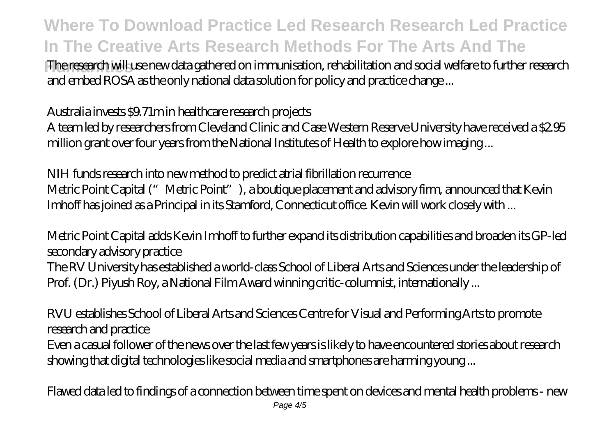## **Where To Download Practice Led Research Research Led Practice In The Creative Arts Research Methods For The Arts And The**

**Humanities** The research will use new data gathered on immunisation, rehabilitation and social welfare to further research and embed ROSA as the only national data solution for policy and practice change ...

#### *Australia invests \$9.71m in healthcare research projects*

A team led by researchers from Cleveland Clinic and Case Western Reserve University have received a \$2.95 million grant over four years from the National Institutes of Health to explore how imaging ...

### *NIH funds research into new method to predict atrial fibrillation recurrence*

Metric Point Capital ("Metric Point"), a boutique placement and advisory firm, announced that Kevin Imhoff has joined as a Principal in its Stamford, Connecticut office. Kevin will work closely with ...

## *Metric Point Capital adds Kevin Imhoff to further expand its distribution capabilities and broaden its GP-led secondary advisory practice*

The RV University has established a world-class School of Liberal Arts and Sciences under the leadership of Prof. (Dr.) Piyush Roy, a National Film Award winning critic-columnist, internationally ...

## *RVU establishes School of Liberal Arts and Sciences Centre for Visual and Performing Arts to promote research and practice*

Even a casual follower of the news over the last few years is likely to have encountered stories about research showing that digital technologies like social media and smartphones are harming young ...

*Flawed data led to findings of a connection between time spent on devices and mental health problems - new*